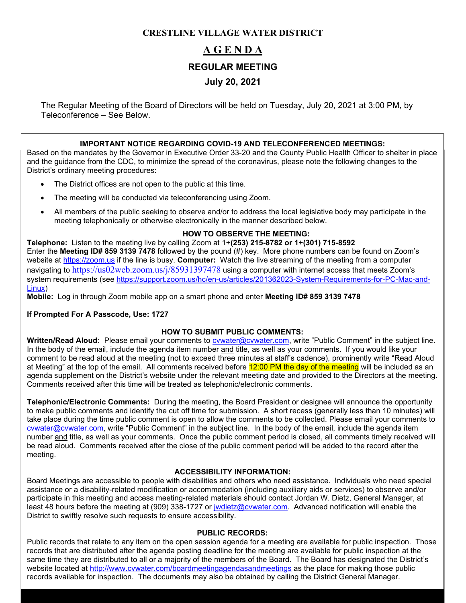### **CRESTLINE VILLAGE WATER DISTRICT**

# **A G E N D A REGULAR MEETING July 20, 2021**

The Regular Meeting of the Board of Directors will be held on Tuesday, July 20, 2021 at 3:00 PM, by Teleconference – See Below.

### **IMPORTANT NOTICE REGARDING COVID-19 AND TELECONFERENCED MEETINGS:**

Based on the mandates by the Governor in Executive Order 33-20 and the County Public Health Officer to shelter in place and the guidance from the CDC, to minimize the spread of the coronavirus, please note the following changes to the District's ordinary meeting procedures:

- The District offices are not open to the public at this time.
- The meeting will be conducted via teleconferencing using Zoom.
- All members of the public seeking to observe and/or to address the local legislative body may participate in the meeting telephonically or otherwise electronically in the manner described below.

### **HOW TO OBSERVE THE MEETING:**

**Telephone:** Listen to the meeting live by calling Zoom at 1+**(253) 215-8782 or 1+(301) 715-8592** Enter the **Meeting ID# 859 3139 7478** followed by the pound (#) key. More phone numbers can be found on Zoom's website at [https://zoom.us](https://zoom.us/) if the line is busy. **Computer:** Watch the live streaming of the meeting from a computer navigating to <https://us02web.zoom.us/j/85931397478> using a computer with internet access that meets Zoom's system requirements (see [https://support.zoom.us/hc/en-us/articles/201362023-System-Requirements-for-PC-Mac-and-](https://support.zoom.us/hc/en-us/articles/201362023-System-Requirements-for-PC-Mac-and-Linux)[Linux\)](https://support.zoom.us/hc/en-us/articles/201362023-System-Requirements-for-PC-Mac-and-Linux)

**Mobile:** Log in through Zoom mobile app on a smart phone and enter **Meeting ID# 859 3139 7478**

### **If Prompted For A Passcode, Use: 1727**

### **HOW TO SUBMIT PUBLIC COMMENTS:**

**Written/Read Aloud:** Please email your comments to [cvwater@cvwater.com,](mailto:cvwater@cvwater.com) write "Public Comment" in the subject line. In the body of the email, include the agenda item number and title, as well as your comments. If you would like your comment to be read aloud at the meeting (not to exceed three minutes at staff's cadence), prominently write "Read Aloud at Meeting" at the top of the email. All comments received before 12:00 PM the day of the meeting will be included as an agenda supplement on the District's website under the relevant meeting date and provided to the Directors at the meeting. Comments received after this time will be treated as telephonic/electronic comments.

**Telephonic/Electronic Comments:** During the meeting, the Board President or designee will announce the opportunity to make public comments and identify the cut off time for submission. A short recess (generally less than 10 minutes) will take place during the time public comment is open to allow the comments to be collected. Please email your comments to [cvwater@cvwater.com,](mailto:cvwater@cvwater.com) write "Public Comment" in the subject line. In the body of the email, include the agenda item number and title, as well as your comments. Once the public comment period is closed, all comments timely received will be read aloud. Comments received after the close of the public comment period will be added to the record after the meeting.

### **ACCESSIBILITY INFORMATION:**

Board Meetings are accessible to people with disabilities and others who need assistance. Individuals who need special assistance or a disability-related modification or accommodation (including auxiliary aids or services) to observe and/or participate in this meeting and access meeting-related materials should contact Jordan W. Dietz, General Manager, at least 48 hours before the meeting at (909) 338-1727 or [jwdietz@cvwater.com.](mailto:jwdietz@cvwater.com) Advanced notification will enable the District to swiftly resolve such requests to ensure accessibility.

### **PUBLIC RECORDS:**

Public records that relate to any item on the open session agenda for a meeting are available for public inspection. Those records that are distributed after the agenda posting deadline for the meeting are available for public inspection at the same time they are distributed to all or a majority of the members of the Board. The Board has designated the District's website located at<http://www.cvwater.com/boardmeetingagendasandmeetings> as the place for making those public records available for inspection. The documents may also be obtained by calling the District General Manager.